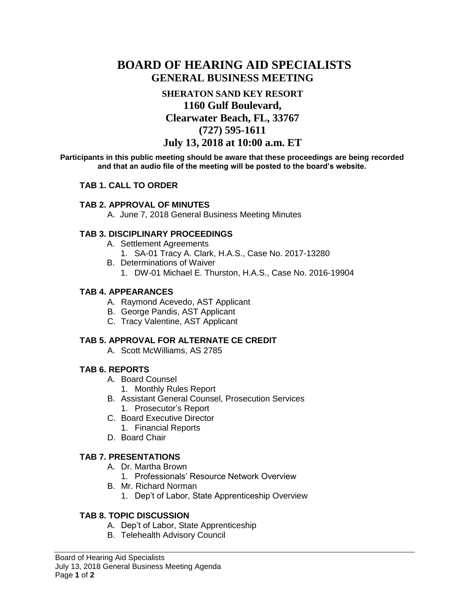# **BOARD OF HEARING AID SPECIALISTS GENERAL BUSINESS MEETING**

## **SHERATON SAND KEY RESORT 1160 Gulf Boulevard, Clearwater Beach, FL, 33767 (727) 595-1611 July 13, 2018 at 10:00 a.m. ET**

**Participants in this public meeting should be aware that these proceedings are being recorded and that an audio file of the meeting will be posted to the board's website.**

#### **TAB 1. CALL TO ORDER**

#### **TAB 2. APPROVAL OF MINUTES**

A. June 7, 2018 General Business Meeting Minutes

#### **TAB 3. DISCIPLINARY PROCEEDINGS**

- A. Settlement Agreements
	- 1. SA-01 Tracy A. Clark, H.A.S., Case No. 2017-13280
- B. Determinations of Waiver
	- 1. DW-01 Michael E. Thurston, H.A.S., Case No. 2016-19904

#### **TAB 4. APPEARANCES**

- A. Raymond Acevedo, AST Applicant
- B. George Pandis, AST Applicant
- C. Tracy Valentine, AST Applicant

#### **TAB 5. APPROVAL FOR ALTERNATE CE CREDIT**

A. Scott McWilliams, AS 2785

#### **TAB 6. REPORTS**

- A. Board Counsel
	- 1. Monthly Rules Report
- B. Assistant General Counsel, Prosecution Services
	- 1. Prosecutor's Report
- C. Board Executive Director
	- 1. Financial Reports
- D. Board Chair

#### **TAB 7. PRESENTATIONS**

- A. Dr. Martha Brown
	- 1. Professionals' Resource Network Overview
- B. Mr. Richard Norman
	- 1. Dep't of Labor, State Apprenticeship Overview

#### **TAB 8. TOPIC DISCUSSION**

- A. Dep't of Labor, State Apprenticeship
- B. Telehealth Advisory Council